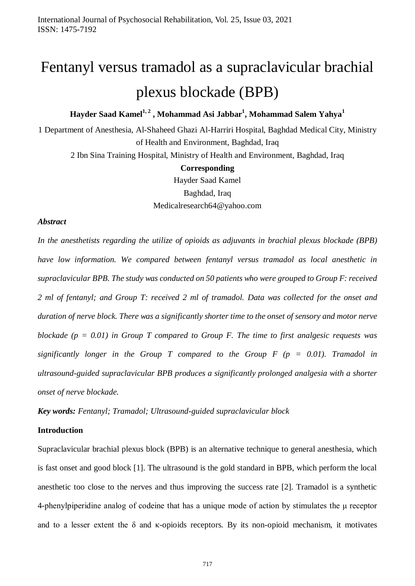# Fentanyl versus tramadol as a supraclavicular brachial plexus blockade (BPB)

**Hayder Saad Kamel1, 2 , Mohammad Asi Jabbar<sup>1</sup> , Mohammad Salem Yahya<sup>1</sup>**

1 Department of Anesthesia, Al-Shaheed Ghazi Al-Harriri Hospital, Baghdad Medical City, Ministry of Health and Environment, Baghdad, Iraq 2 Ibn Sina Training Hospital, Ministry of Health and Environment, Baghdad, Iraq

**Corresponding**

Hayder Saad Kamel Baghdad, Iraq Medicalresearch64@yahoo.com

#### *Abstract*

*In the anesthetists regarding the utilize of opioids as adjuvants in brachial plexus blockade (BPB) have low information. We compared between fentanyl versus tramadol as local anesthetic in supraclavicular BPB. The study was conducted on 50 patients who were grouped to Group F: received 2 ml of fentanyl; and Group T: received 2 ml of tramadol. Data was collected for the onset and duration of nerve block. There was a significantly shorter time to the onset of sensory and motor nerve blockade (p = 0.01) in Group T compared to Group F. The time to first analgesic requests was significantly longer in the Group T compared to the Group F (p = 0.01). Tramadol in ultrasound-guided supraclavicular BPB produces a significantly prolonged analgesia with a shorter onset of nerve blockade.* 

*Key words: Fentanyl; Tramadol; Ultrasound-guided supraclavicular block* 

## **Introduction**

Supraclavicular brachial plexus block (BPB) is an alternative technique to general anesthesia, which is fast onset and good block [1]. The ultrasound is the gold standard in BPB, which perform the local anesthetic too close to the nerves and thus improving the success rate [2]. Tramadol is a synthetic 4-phenylpiperidine analog of codeine that has a unique mode of action by stimulates the μ receptor and to a lesser extent the  $\delta$  and  $\kappa$ -opioids receptors. By its non-opioid mechanism, it motivates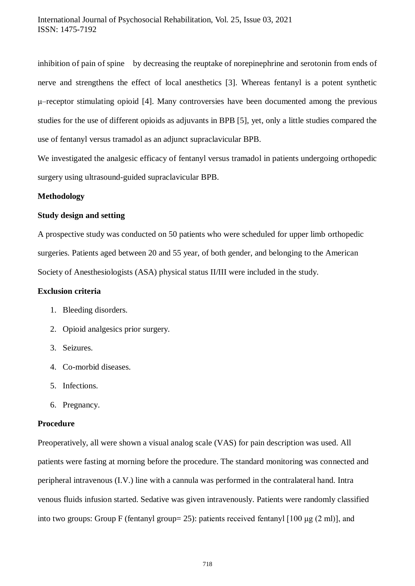inhibition of pain of spine by decreasing the reuptake of norepinephrine and serotonin from ends of nerve and strengthens the effect of local anesthetics [3]. Whereas fentanyl is a potent synthetic μ–receptor stimulating opioid [4]. Many controversies have been documented among the previous studies for the use of different opioids as adjuvants in BPB [5], yet, only a little studies compared the use of fentanyl versus tramadol as an adjunct supraclavicular BPB.

We investigated the analgesic efficacy of fentanyl versus tramadol in patients undergoing orthopedic surgery using ultrasound-guided supraclavicular BPB.

## **Methodology**

#### **Study design and setting**

A prospective study was conducted on 50 patients who were scheduled for upper limb orthopedic surgeries. Patients aged between 20 and 55 year, of both gender, and belonging to the American Society of Anesthesiologists (ASA) physical status II/III were included in the study.

#### **Exclusion criteria**

- 1. Bleeding disorders.
- 2. Opioid analgesics prior surgery.
- 3. Seizures.
- 4. Co-morbid diseases.
- 5. Infections.
- 6. Pregnancy.

# **Procedure**

Preoperatively, all were shown a visual analog scale (VAS) for pain description was used. All patients were fasting at morning before the procedure. The standard monitoring was connected and peripheral intravenous (I.V.) line with a cannula was performed in the contralateral hand. Intra venous fluids infusion started. Sedative was given intravenously. Patients were randomly classified into two groups: Group F (fentanyl group= 25): patients received fentanyl [100 μg (2 ml)], and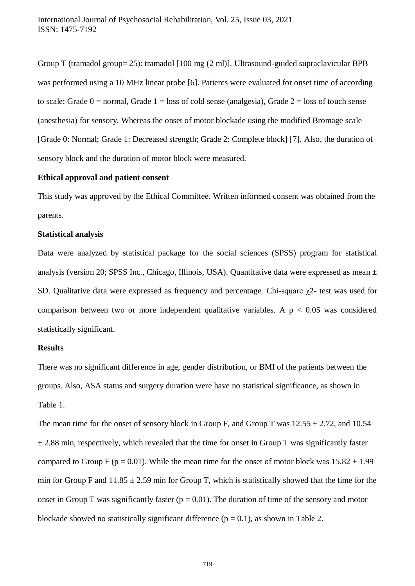Group T (tramadol group= 25): tramadol [100 mg (2 ml)]. Ultrasound-guided supraclavicular BPB was performed using a 10 MHz linear probe [6]. Patients were evaluated for onset time of according to scale: Grade  $0 =$  normal, Grade  $1 =$  loss of cold sense (analgesia), Grade  $2 =$  loss of touch sense (anesthesia) for sensory. Whereas the onset of motor blockade using the modified Bromage scale [Grade 0: Normal; Grade 1: Decreased strength; Grade 2: Complete block] [7]. Also, the duration of sensory block and the duration of motor block were measured.

#### **Ethical approval and patient consent**

This study was approved by the Ethical Committee. Written informed consent was obtained from the parents.

#### **Statistical analysis**

Data were analyzed by statistical package for the social sciences (SPSS) program for statistical analysis (version 20; SPSS Inc., Chicago, Illinois, USA). Quantitative data were expressed as mean ± SD. Qualitative data were expressed as frequency and percentage. Chi-square χ2- test was used for comparison between two or more independent qualitative variables. A  $p < 0.05$  was considered statistically significant.

#### **Results**

There was no significant difference in age, gender distribution, or BMI of the patients between the groups. Also, ASA status and surgery duration were have no statistical significance, as shown in Table 1.

The mean time for the onset of sensory block in Group F, and Group T was  $12.55 \pm 2.72$ , and  $10.54$  $\pm$  2.88 min, respectively, which revealed that the time for onset in Group T was significantly faster compared to Group F (p = 0.01). While the mean time for the onset of motor block was  $15.82 \pm 1.99$ min for Group F and  $11.85 \pm 2.59$  min for Group T, which is statistically showed that the time for the onset in Group T was significantly faster ( $p = 0.01$ ). The duration of time of the sensory and motor blockade showed no statistically significant difference ( $p = 0.1$ ), as shown in Table 2.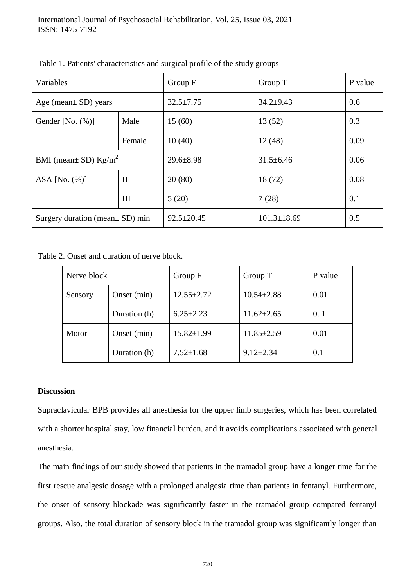| Variables                             |              | Group F          | Group T           | P value |
|---------------------------------------|--------------|------------------|-------------------|---------|
| Age (mean $\pm$ SD) years             |              | $32.5 \pm 7.75$  | $34.2+9.43$       | 0.6     |
| Gender [No. $(\%)$ ]                  | Male         | 15(60)           | 13(52)            | 0.3     |
|                                       | Female       | 10(40)           | 12(48)            | 0.09    |
| BMI (mean $\pm$ SD) Kg/m <sup>2</sup> |              | $29.6 \pm 8.98$  | $31.5 \pm 6.46$   | 0.06    |
| ASA [No. $(\%)$ ]                     | $\mathbf{I}$ | 20(80)           | 18(72)            | 0.08    |
|                                       | III          | 5(20)            | 7(28)             | 0.1     |
| Surgery duration (mean $\pm$ SD) min  |              | $92.5 \pm 20.45$ | $101.3 \pm 18.69$ | 0.5     |

Table 1. Patients' characteristics and surgical profile of the study groups

Table 2. Onset and duration of nerve block.

| Nerve block |              | Group F          | Group T          | P value |
|-------------|--------------|------------------|------------------|---------|
| Sensory     | Onset (min)  | $12.55 \pm 2.72$ | $10.54 \pm 2.88$ | 0.01    |
|             | Duration (h) | $6.25 \pm 2.23$  | $11.62 \pm 2.65$ | 0.1     |
| Motor       | Onset (min)  | $15.82{\pm}1.99$ | $11.85 \pm 2.59$ | 0.01    |
|             | Duration (h) | $7.52 \pm 1.68$  | $9.12 \pm 2.34$  | 0.1     |

## **Discussion**

Supraclavicular BPB provides all anesthesia for the upper limb surgeries, which has been correlated with a shorter hospital stay, low financial burden, and it avoids complications associated with general anesthesia.

The main findings of our study showed that patients in the tramadol group have a longer time for the first rescue analgesic dosage with a prolonged analgesia time than patients in fentanyl. Furthermore, the onset of sensory blockade was significantly faster in the tramadol group compared fentanyl groups. Also, the total duration of sensory block in the tramadol group was significantly longer than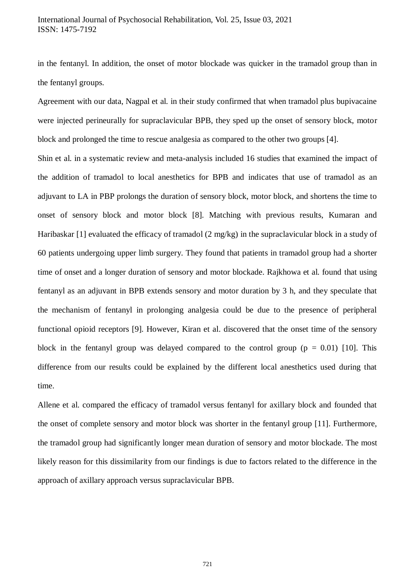# International Journal of Psychosocial Rehabilitation, Vol. 25, Issue 03, 2021 ISSN: 1475-7192

in the fentanyl. In addition, the onset of motor blockade was quicker in the tramadol group than in the fentanyl groups.

Agreement with our data, Nagpal et al. in their study confirmed that when tramadol plus bupivacaine were injected perineurally for supraclavicular BPB, they sped up the onset of sensory block, motor block and prolonged the time to rescue analgesia as compared to the other two groups [4].

Shin et al. in a systematic review and meta-analysis included 16 studies that examined the impact of the addition of tramadol to local anesthetics for BPB and indicates that use of tramadol as an adjuvant to LA in PBP prolongs the duration of sensory block, motor block, and shortens the time to onset of sensory block and motor block [8]. Matching with previous results, Kumaran and Haribaskar [1] evaluated the efficacy of tramadol (2 mg/kg) in the supraclavicular block in a study of 60 patients undergoing upper limb surgery. They found that patients in tramadol group had a shorter time of onset and a longer duration of sensory and motor blockade. Rajkhowa et al. found that using fentanyl as an adjuvant in BPB extends sensory and motor duration by 3 h, and they speculate that the mechanism of fentanyl in prolonging analgesia could be due to the presence of peripheral functional opioid receptors [9]. However, Kiran et al. discovered that the onset time of the sensory block in the fentanyl group was delayed compared to the control group ( $p = 0.01$ ) [10]. This difference from our results could be explained by the different local anesthetics used during that time.

Allene et al. compared the efficacy of tramadol versus fentanyl for axillary block and founded that the onset of complete sensory and motor block was shorter in the fentanyl group [11]. Furthermore, the tramadol group had significantly longer mean duration of sensory and motor blockade. The most likely reason for this dissimilarity from our findings is due to factors related to the difference in the approach of axillary approach versus supraclavicular BPB.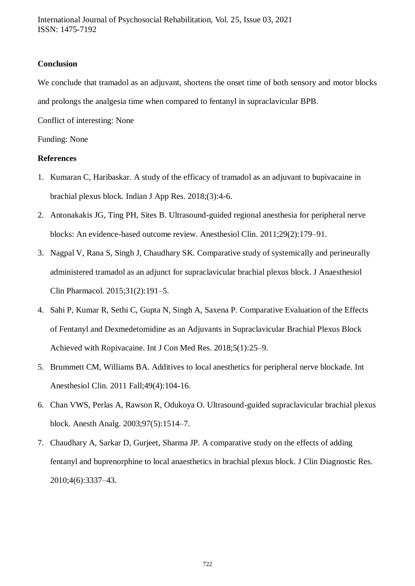# **Conclusion**

We conclude that tramadol as an adjuvant, shortens the onset time of both sensory and motor blocks and prolongs the analgesia time when compared to fentanyl in supraclavicular BPB.

Conflict of interesting: None

Funding: None

# **References**

- 1. Kumaran C, Haribaskar. A study of the efficacy of tramadol as an adjuvant to bupivacaine in brachial plexus block. Indian J App Res. 2018;(3):4-6.
- 2. Antonakakis JG, Ting PH, Sites B. Ultrasound-guided regional anesthesia for peripheral nerve blocks: An evidence-based outcome review. Anesthesiol Clin. 2011;29(2):179–91.
- 3. Nagpal V, Rana S, Singh J, Chaudhary SK. Comparative study of systemically and perineurally administered tramadol as an adjunct for supraclavicular brachial plexus block. J Anaesthesiol Clin Pharmacol. 2015;31(2):191–5.
- 4. Sahi P, Kumar R, Sethi C, Gupta N, Singh A, Saxena P. Comparative Evaluation of the Effects of Fentanyl and Dexmedetomidine as an Adjuvants in Supraclavicular Brachial Plexus Block Achieved with Ropivacaine. Int J Con Med Res. 2018;5(1):25–9.
- 5. Brummett CM, Williams BA. Additives to local anesthetics for peripheral nerve blockade. Int Anesthesiol Clin. 2011 Fall;49(4):104-16.
- 6. Chan VWS, Perlas A, Rawson R, Odukoya O. Ultrasound-guided supraclavicular brachial plexus block. Anesth Analg. 2003;97(5):1514–7.
- 7. Chaudhary A, Sarkar D, Gurjeet, Sharma JP. A comparative study on the effects of adding fentanyl and buprenorphine to local anaesthetics in brachial plexus block. J Clin Diagnostic Res. 2010;4(6):3337–43.